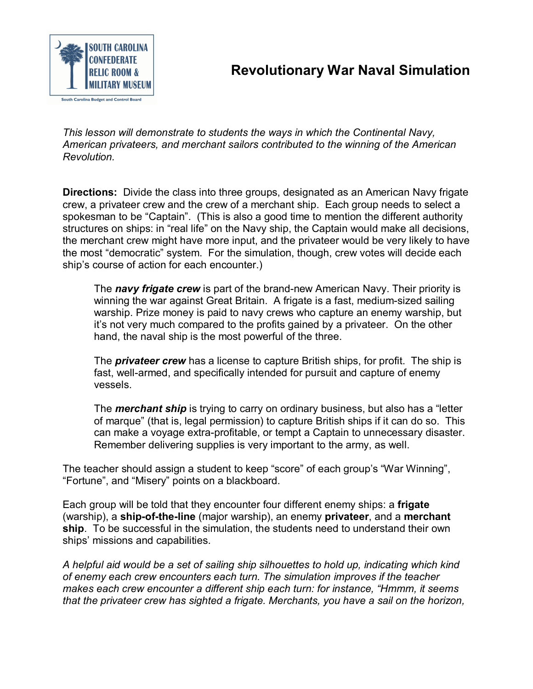

*This lesson will demonstrate to students the ways in which the Continental Navy, American privateers, and merchant sailors contributed to the winning of the American Revolution.*

**Directions:** Divide the class into three groups, designated as an American Navy frigate crew, a privateer crew and the crew of a merchant ship. Each group needs to select a spokesman to be "Captain". (This is also a good time to mention the different authority structures on ships: in "real life" on the Navy ship, the Captain would make all decisions, the merchant crew might have more input, and the privateer would be very likely to have the most "democratic" system. For the simulation, though, crew votes will decide each ship's course of action for each encounter.)

The *navy frigate crew* is part of the brand-new American Navy. Their priority is winning the war against Great Britain. A frigate is a fast, medium-sized sailing warship. Prize money is paid to navy crews who capture an enemy warship, but it's not very much compared to the profits gained by a privateer. On the other hand, the naval ship is the most powerful of the three.

The *privateer crew* has a license to capture British ships, for profit. The ship is fast, well-armed, and specifically intended for pursuit and capture of enemy vessels.

The *merchant ship* is trying to carry on ordinary business, but also has a "letter of marque" (that is, legal permission) to capture British ships if it can do so. This can make a voyage extra-profitable, or tempt a Captain to unnecessary disaster. Remember delivering supplies is very important to the army, as well.

The teacher should assign a student to keep "score" of each group's "War Winning", "Fortune", and "Misery" points on a blackboard.

Each group will be told that they encounter four different enemy ships: a **frigate** (warship), a **shipoftheline** (major warship), an enemy **privateer**, and a **merchant ship**. To be successful in the simulation, the students need to understand their own ships' missions and capabilities.

*A helpful aid would be a set of sailing ship silhouettes to hold up, indicating which kind of enemy each crew encounters each turn. The simulation improves if the teacher makes each crew encounter a different ship each turn: for instance, "Hmmm, it seems that the privateer crew has sighted a frigate. Merchants, you have a sail on the horizon,*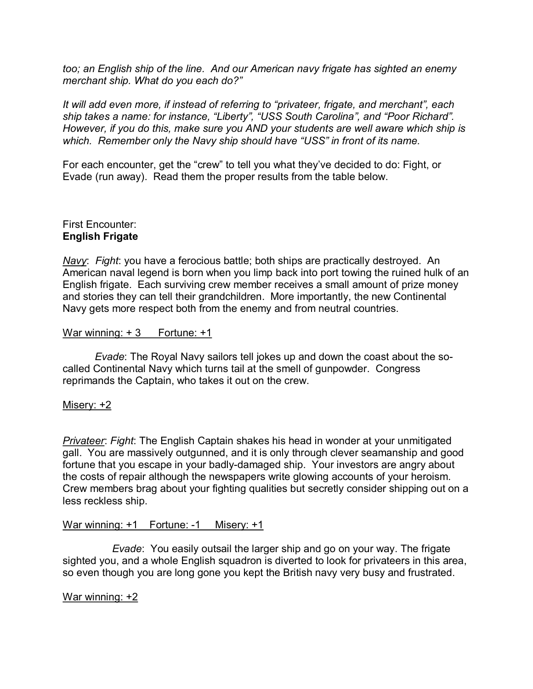*too; an English ship of the line. And our American navy frigate has sighted an enemy merchant ship. What do you each do?"*

*It will add even more, if instead of referring to "privateer, frigate, and merchant", each ship takes a name: for instance, "Liberty", "USS South Carolina", and "Poor Richard". However, if you do this, make sure you AND your students are well aware which ship is which. Remember only the Navy ship should have "USS" in front of its name.*

For each encounter, get the "crew" to tell you what they've decided to do: Fight, or Evade (run away). Read them the proper results from the table below.

### First Encounter: **English Frigate**

*Navy*: *Fight*: you have a ferocious battle; both ships are practically destroyed. An American naval legend is born when you limp back into port towing the ruined hulk of an English frigate. Each surviving crew member receives a small amount of prize money and stories they can tell their grandchildren. More importantly, the new Continental Navy gets more respect both from the enemy and from neutral countries.

### War winning:  $+3$  Fortune:  $+1$

*Evade*: The Royal Navy sailors tell jokes up and down the coast about the so called Continental Navy which turns tail at the smell of gunpowder. Congress reprimands the Captain, who takes it out on the crew.

## Misery: +2

*Privateer*: *Fight*: The English Captain shakes his head in wonder at your unmitigated gall. You are massively outgunned, and it is only through clever seamanship and good fortune that you escape in your badly-damaged ship. Your investors are angry about the costs of repair although the newspapers write glowing accounts of your heroism. Crew members brag about your fighting qualities but secretly consider shipping out on a less reckless ship.

### War winning: +1 Fortune: -1 Misery: +1

*Evade*: You easily outsail the larger ship and go on your way. The frigate sighted you, and a whole English squadron is diverted to look for privateers in this area, so even though you are long gone you kept the British navy very busy and frustrated.

### War winning: +2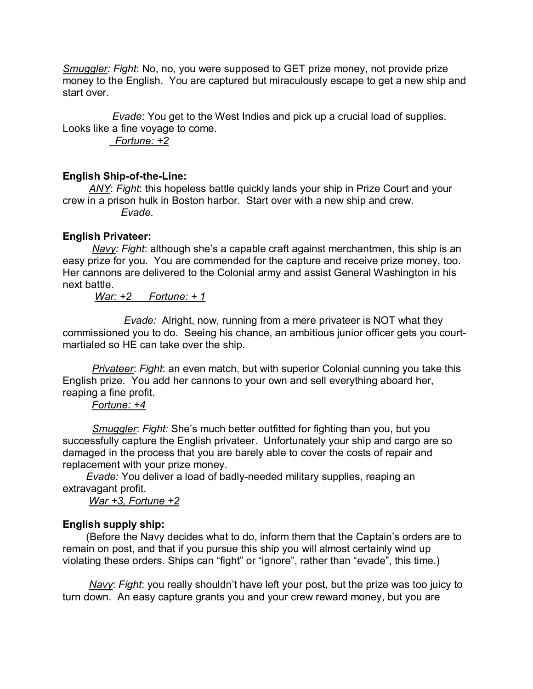*Smuggler: Fight*: No, no, you were supposed to GET prize money, not provide prize money to the English. You are captured but miraculously escape to get a new ship and start over.

*Evade*: You get to the West Indies and pick up a crucial load of supplies. Looks like a fine voyage to come.

*Fortune: +2*

## **English Ship-of-the-Line:**

*ANY*: *Fight*: this hopeless battle quickly lands your ship in Prize Court and your crew in a prison hulk in Boston harbor. Start over with a new ship and crew. *Evade*.

## **English Privateer:**

*Navy: Fight*: although she's a capable craft against merchantmen, this ship is an easy prize for you. You are commended for the capture and receive prize money, too. Her cannons are delivered to the Colonial army and assist General Washington in his next battle.

## *War: +2 Fortune: + 1*

*Evade:* Alright, now, running from a mere privateer is NOT what they commissioned you to do. Seeing his chance, an ambitious junior officer gets you court martialed so HE can take over the ship.

*Privateer*: *Fight*: an even match, but with superior Colonial cunning you take this English prize. You add her cannons to your own and sell everything aboard her, reaping a fine profit.

## *Fortune: +4*

*Smuggler*: *Fight:* She's much better outfitted for fighting than you, but you successfully capture the English privateer. Unfortunately your ship and cargo are so damaged in the process that you are barely able to cover the costs of repair and replacement with your prize money.

*Evade:* You deliver a load of badly-needed military supplies, reaping an extravagant profit.

*War +3, Fortune +2*

# **English supply ship:**

(Before the Navy decides what to do, inform them that the Captain's orders are to remain on post, and that if you pursue this ship you will almost certainly wind up violating these orders. Ships can "fight" or "ignore", rather than "evade", this time.)

*Navy*: *Fight*: you really shouldn't have left your post, but the prize was too juicy to turn down. An easy capture grants you and your crew reward money, but you are